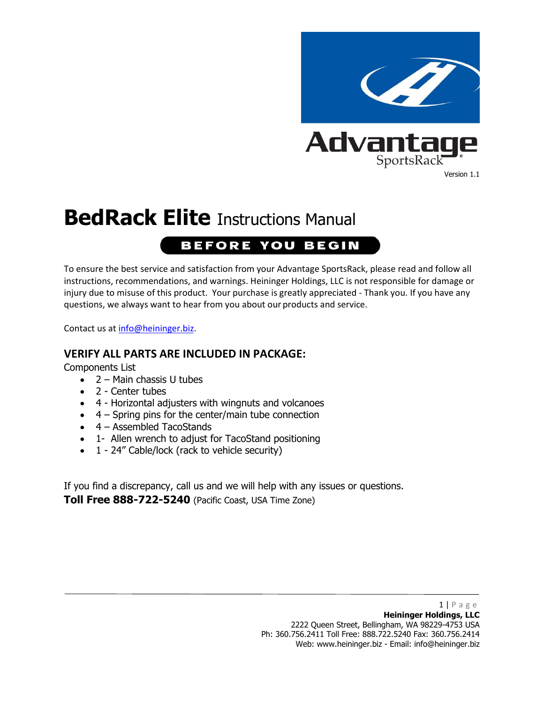

# **BedRack Elite** Instructions Manual

## **BEFORE YOU BEGIN**

To ensure the best service and satisfaction from your Advantage SportsRack, please read and follow all instructions, recommendations, and warnings. Heininger Holdings, LLC is not responsible for damage or injury due to misuse of this product. Your purchase is greatly appreciated - Thank you. If you have any questions, we always want to hear from you about our products and service.

Contact us at [info@heininger.biz.](mailto:info@heininger.biz)

#### **VERIFY ALL PARTS ARE INCLUDED IN PACKAGE:**

Components List

- 2 Main chassis U tubes
- 2 Center tubes
- 4 Horizontal adjusters with wingnuts and volcanoes
- 4 Spring pins for the center/main tube connection
- 4 Assembled TacoStands
- 1- Allen wrench to adjust for TacoStand positioning
- 1 24" Cable/lock (rack to vehicle security)

If you find a discrepancy, call us and we will help with any issues or questions. **Toll Free 888-722-5240** (Pacific Coast, USA Time Zone)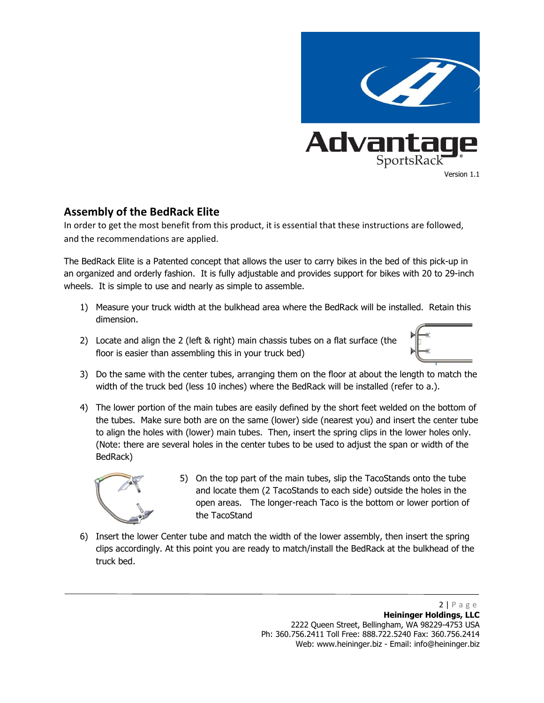

#### **Assembly of the BedRack Elite**

In order to get the most benefit from this product, it is essential that these instructions are followed, and the recommendations are applied.

The BedRack Elite is a Patented concept that allows the user to carry bikes in the bed of this pick-up in an organized and orderly fashion. It is fully adjustable and provides support for bikes with 20 to 29-inch wheels. It is simple to use and nearly as simple to assemble.

- 1) Measure your truck width at the bulkhead area where the BedRack will be installed. Retain this dimension.
- 2) Locate and align the 2 (left & right) main chassis tubes on a flat surface (the floor is easier than assembling this in your truck bed)



- 3) Do the same with the center tubes, arranging them on the floor at about the length to match the width of the truck bed (less 10 inches) where the BedRack will be installed (refer to a.).
- 4) The lower portion of the main tubes are easily defined by the short feet welded on the bottom of the tubes. Make sure both are on the same (lower) side (nearest you) and insert the center tube to align the holes with (lower) main tubes. Then, insert the spring clips in the lower holes only. (Note: there are several holes in the center tubes to be used to adjust the span or width of the BedRack)



- 5) On the top part of the main tubes, slip the TacoStands onto the tube and locate them (2 TacoStands to each side) outside the holes in the open areas. The longer-reach Taco is the bottom or lower portion of the TacoStand
- 6) Insert the lower Center tube and match the width of the lower assembly, then insert the spring clips accordingly. At this point you are ready to match/install the BedRack at the bulkhead of the truck bed.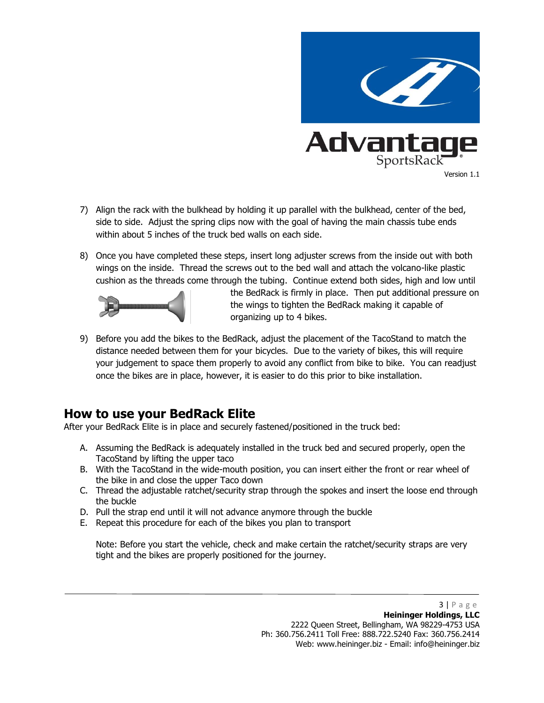

- 7) Align the rack with the bulkhead by holding it up parallel with the bulkhead, center of the bed, side to side. Adjust the spring clips now with the goal of having the main chassis tube ends within about 5 inches of the truck bed walls on each side.
- 8) Once you have completed these steps, insert long adjuster screws from the inside out with both wings on the inside. Thread the screws out to the bed wall and attach the volcano-like plastic cushion as the threads come through the tubing. Continue extend both sides, high and low until



the BedRack is firmly in place. Then put additional pressure on the wings to tighten the BedRack making it capable of organizing up to 4 bikes.

9) Before you add the bikes to the BedRack, adjust the placement of the TacoStand to match the distance needed between them for your bicycles. Due to the variety of bikes, this will require your judgement to space them properly to avoid any conflict from bike to bike. You can readjust once the bikes are in place, however, it is easier to do this prior to bike installation.

### **How to use your BedRack Elite**

After your BedRack Elite is in place and securely fastened/positioned in the truck bed:

- A. Assuming the BedRack is adequately installed in the truck bed and secured properly, open the TacoStand by lifting the upper taco
- B. With the TacoStand in the wide-mouth position, you can insert either the front or rear wheel of the bike in and close the upper Taco down
- C. Thread the adjustable ratchet/security strap through the spokes and insert the loose end through the buckle
- D. Pull the strap end until it will not advance anymore through the buckle
- E. Repeat this procedure for each of the bikes you plan to transport

Note: Before you start the vehicle, check and make certain the ratchet/security straps are very tight and the bikes are properly positioned for the journey.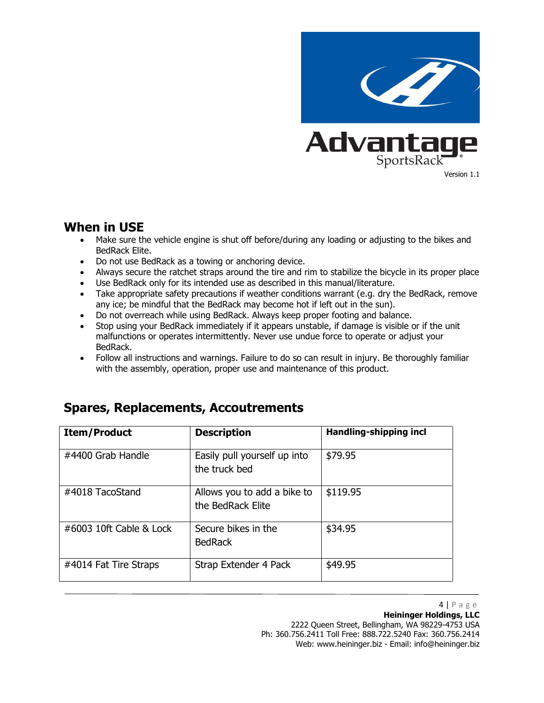

#### **When in USE**

- Make sure the vehicle engine is shut off before/during any loading or adjusting to the bikes and BedRack Elite.
- Do not use BedRack as a towing or anchoring device.
- Always secure the ratchet straps around the tire and rim to stabilize the bicycle in its proper place
- Use BedRack only for its intended use as described in this manual/literature.
- Take appropriate safety precautions if weather conditions warrant (e.g. dry the BedRack, remove any ice; be mindful that the BedRack may become hot if left out in the sun).
- Do not overreach while using BedRack. Always keep proper footing and balance.
- Stop using your BedRack immediately if it appears unstable, if damage is visible or if the unit malfunctions or operates intermittently. Never use undue force to operate or adjust your BedRack.
- Follow all instructions and warnings. Failure to do so can result in injury. Be thoroughly familiar with the assembly, operation, proper use and maintenance of this product.

| <b>Item/Product</b>        | <b>Description</b>                               | Handling-shipping incl |
|----------------------------|--------------------------------------------------|------------------------|
| #4400 Grab Handle          | Easily pull yourself up into<br>the truck bed    | \$79.95                |
| #4018 TacoStand            | Allows you to add a bike to<br>the BedRack Elite | \$119.95               |
| $\#6003$ 10ft Cable & Lock | Secure bikes in the<br><b>BedRack</b>            | \$34.95                |
| #4014 Fat Tire Straps      | Strap Extender 4 Pack                            | \$49.95                |

### **Spares, Replacements, Accoutrements**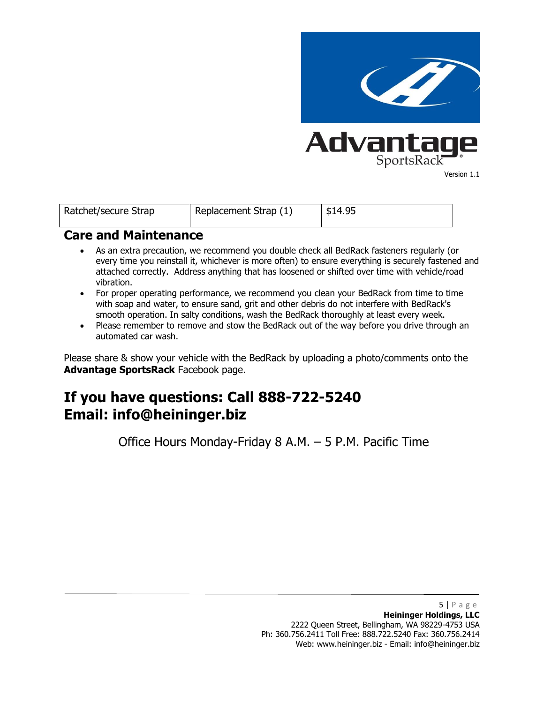

| Ratchet/secure Strap | Replacement Strap $(1)$ | \$14.95 |
|----------------------|-------------------------|---------|
|                      |                         |         |

#### **Care and Maintenance**

- As an extra precaution, we recommend you double check all BedRack fasteners regularly (or every time you reinstall it, whichever is more often) to ensure everything is securely fastened and attached correctly. Address anything that has loosened or shifted over time with vehicle/road vibration.
- For proper operating performance, we recommend you clean your BedRack from time to time with soap and water, to ensure sand, grit and other debris do not interfere with BedRack's smooth operation. In salty conditions, wash the BedRack thoroughly at least every week.
- Please remember to remove and stow the BedRack out of the way before you drive through an automated car wash.

Please share & show your vehicle with the BedRack by uploading a photo/comments onto the **Advantage SportsRack** Facebook page.

# **If you have questions: Call 888-722-5240 Email: info@heininger.biz**

Office Hours Monday-Friday 8 A.M. – 5 P.M. Pacific Time